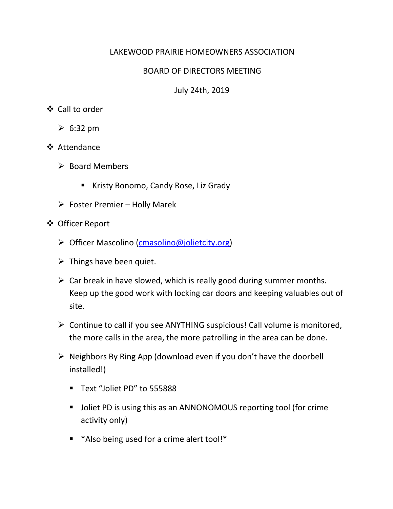## LAKEWOOD PRAIRIE HOMEOWNERS ASSOCIATION

## BOARD OF DIRECTORS MEETING

July 24th, 2019

## Call to order

- $\geqslant 6:32 \text{ pm}$
- **❖** Attendance
	- $\triangleright$  Board Members
		- Kristy Bonomo, Candy Rose, Liz Grady
	- $\triangleright$  Foster Premier Holly Marek
- Officer Report
	- ▶ Officer Mascolino (cmasolino@jolietcity.org)
	- $\triangleright$  Things have been quiet.
	- $\triangleright$  Car break in have slowed, which is really good during summer months. Keep up the good work with locking car doors and keeping valuables out of site.
	- $\triangleright$  Continue to call if you see ANYTHING suspicious! Call volume is monitored, the more calls in the area, the more patrolling in the area can be done.
	- $\triangleright$  Neighbors By Ring App (download even if you don't have the doorbell installed!)
		- Text "Joliet PD" to 555888
		- **Joliet PD is using this as an ANNONOMOUS reporting tool (for crime** activity only)
		- \*Also being used for a crime alert tool!\*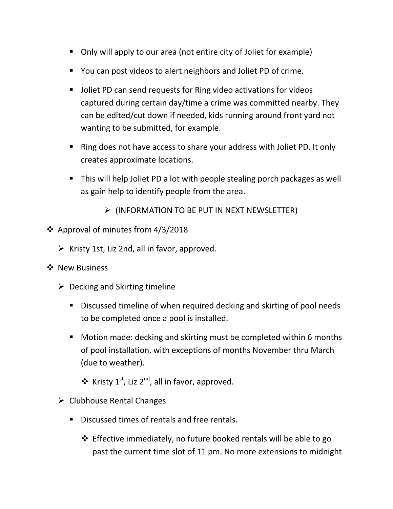- Only will apply to our area (not entire city of Joliet for example)
- You can post videos to alert neighbors and Joliet PD of crime.
- Joliet PD can send requests for Ring video activations for videos captured during certain day/time a crime was committed nearby. They can be edited/cut down if needed, kids running around front yard not wanting to be submitted, for example.
- Ring does not have access to share your address with Joliet PD. It only creates approximate locations.
- This will help Joliet PD a lot with people stealing porch packages as well as gain help to identify people from the area.
	- $\triangleright$  (INFORMATION TO BE PUT IN NEXT NEWSLETTER)
- ❖ Approval of minutes from  $4/3/2018$ 
	- $\triangleright$  Kristy 1st, Liz 2nd, all in favor, approved.
- ❖ New Business
	- $\triangleright$  Decking and Skirting timeline
		- Discussed timeline of when required decking and skirting of pool needs to be completed once a pool is installed.
		- **Motion made: decking and skirting must be completed within 6 months** of pool installation, with exceptions of months November thru March (due to weather).
			- $\triangleq$  Kristy 1<sup>st</sup>, Liz 2<sup>nd</sup>, all in favor, approved.
	- $\triangleright$  Clubhouse Rental Changes
		- Discussed times of rentals and free rentals.
			- Effective immediately, no future booked rentals will be able to go past the current time slot of 11 pm. No more extensions to midnight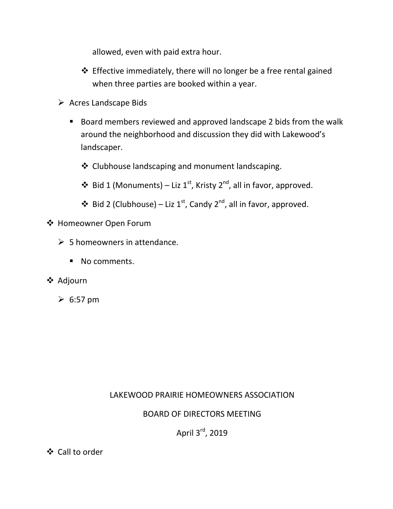allowed, even with paid extra hour.

- $\triangle$  Effective immediately, there will no longer be a free rental gained when three parties are booked within a year.
- $\triangleright$  Acres Landscape Bids
	- Board members reviewed and approved landscape 2 bids from the walk around the neighborhood and discussion they did with Lakewood's landscaper.
		- ❖ Clubhouse landscaping and monument landscaping.
		- ❖ Bid 1 (Monuments) Liz 1<sup>st</sup>, Kristy 2<sup>nd</sup>, all in favor, approved.
		- $\div$  Bid 2 (Clubhouse) Liz 1<sup>st</sup>, Candy 2<sup>nd</sup>, all in favor, approved.
- Homeowner Open Forum
	- $\geqslant$  5 homeowners in attendance.
		- No comments.
- **❖** Adjourn
	- $\geqslant 6:57$  pm

# LAKEWOOD PRAIRIE HOMEOWNERS ASSOCIATION

### BOARD OF DIRECTORS MEETING

April 3<sup>rd</sup>, 2019

Call to order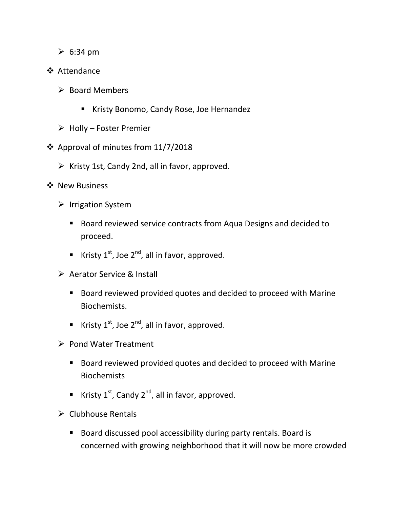- $\geq 6:34 \text{ pm}$
- ❖ Attendance
	- $\triangleright$  Board Members
		- Kristy Bonomo, Candy Rose, Joe Hernandez
	- $\triangleright$  Holly Foster Premier
- Approval of minutes from 11/7/2018
	- $\triangleright$  Kristy 1st, Candy 2nd, all in favor, approved.
- ❖ New Business
	- $\triangleright$  Irrigation System
		- Board reviewed service contracts from Aqua Designs and decided to proceed.
		- Kristy  $1^{st}$ , Joe  $2^{nd}$ , all in favor, approved.
	- ▶ Aerator Service & Install
		- Board reviewed provided quotes and decided to proceed with Marine Biochemists.
		- Kristy  $1^{st}$ , Joe  $2^{nd}$ , all in favor, approved.
	- $\triangleright$  Pond Water Treatment
		- Board reviewed provided quotes and decided to proceed with Marine **Biochemists**
		- Kristy  $1^{st}$ , Candy  $2^{nd}$ , all in favor, approved.
	- $\triangleright$  Clubhouse Rentals
		- Board discussed pool accessibility during party rentals. Board is concerned with growing neighborhood that it will now be more crowded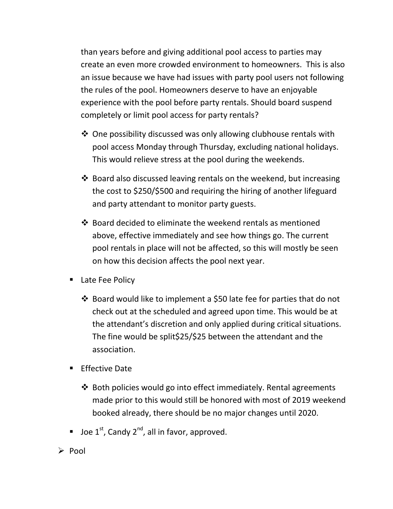than years before and giving additional pool access to parties may create an even more crowded environment to homeowners. This is also an issue because we have had issues with party pool users not following the rules of the pool. Homeowners deserve to have an enjoyable experience with the pool before party rentals. Should board suspend completely or limit pool access for party rentals?

- $\triangle$  One possibility discussed was only allowing clubhouse rentals with pool access Monday through Thursday, excluding national holidays. This would relieve stress at the pool during the weekends.
- $\cdot$  Board also discussed leaving rentals on the weekend, but increasing the cost to \$250/\$500 and requiring the hiring of another lifeguard and party attendant to monitor party guests.
- Board decided to eliminate the weekend rentals as mentioned above, effective immediately and see how things go. The current pool rentals in place will not be affected, so this will mostly be seen on how this decision affects the pool next year.
- Late Fee Policy
	- Board would like to implement a \$50 late fee for parties that do not check out at the scheduled and agreed upon time. This would be at the attendant's discretion and only applied during critical situations. The fine would be split\$25/\$25 between the attendant and the association.
- **Effective Date** 
	- $\triangle$  Both policies would go into effect immediately. Rental agreements made prior to this would still be honored with most of 2019 weekend booked already, there should be no major changes until 2020.
- **Joe 1st, Candy 2<sup>nd</sup>, all in favor, approved.**
- $\triangleright$  Pool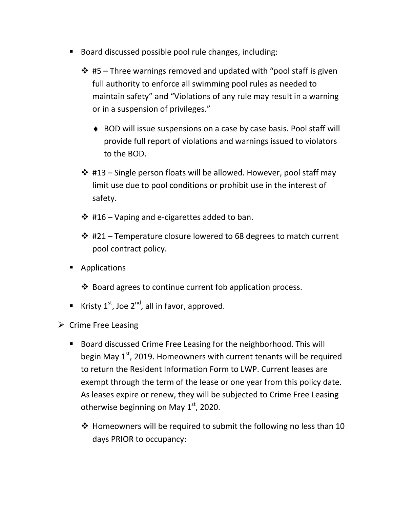- Board discussed possible pool rule changes, including:
	- $\cdot$  #5 Three warnings removed and updated with "pool staff is given full authority to enforce all swimming pool rules as needed to maintain safety" and "Violations of any rule may result in a warning or in a suspension of privileges."
		- ♦ BOD will issue suspensions on a case by case basis. Pool staff will provide full report of violations and warnings issued to violators to the BOD.
	- $\div$  #13 Single person floats will be allowed. However, pool staff may limit use due to pool conditions or prohibit use in the interest of safety.
	- $\div$  #16 Vaping and e-cigarettes added to ban.
	- $\div$  #21 Temperature closure lowered to 68 degrees to match current pool contract policy.
- **Applications** 
	- ❖ Board agrees to continue current fob application process.
- Kristy  $1^{st}$ , Joe  $2^{nd}$ , all in favor, approved.
- $\triangleright$  Crime Free Leasing
	- Board discussed Crime Free Leasing for the neighborhood. This will begin May  $1<sup>st</sup>$ , 2019. Homeowners with current tenants will be required to return the Resident Information Form to LWP. Current leases are exempt through the term of the lease or one year from this policy date. As leases expire or renew, they will be subjected to Crime Free Leasing otherwise beginning on May  $1<sup>st</sup>$ , 2020.
		- ❖ Homeowners will be required to submit the following no less than 10 days PRIOR to occupancy: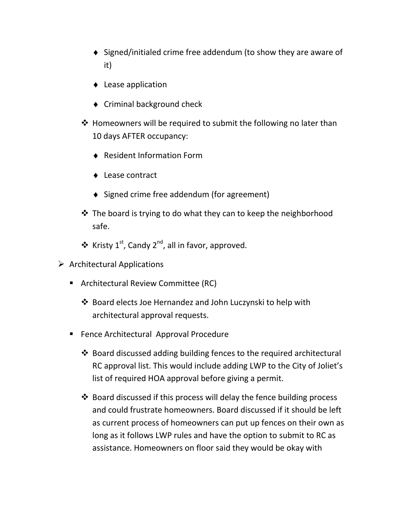- ♦ Signed/initialed crime free addendum (to show they are aware of it)
- ♦ Lease application
- ♦ Criminal background check
- $\cdot$  Homeowners will be required to submit the following no later than 10 days AFTER occupancy:
	- ♦ Resident Information Form
	- ♦ Lease contract
	- ♦ Signed crime free addendum (for agreement)
- $\cdot$  The board is trying to do what they can to keep the neighborhood safe.
- ❖ Kristy  $1^{st}$ , Candy  $2^{nd}$ , all in favor, approved.
- $\triangleright$  Architectural Applications
	- **Architectural Review Committee (RC)** 
		- Board elects Joe Hernandez and John Luczynski to help with architectural approval requests.
	- **Fence Architectural Approval Procedure** 
		- $\cdot$  Board discussed adding building fences to the required architectural RC approval list. This would include adding LWP to the City of Joliet's list of required HOA approval before giving a permit.
		- $\cdot$  Board discussed if this process will delay the fence building process and could frustrate homeowners. Board discussed if it should be left as current process of homeowners can put up fences on their own as long as it follows LWP rules and have the option to submit to RC as assistance. Homeowners on floor said they would be okay with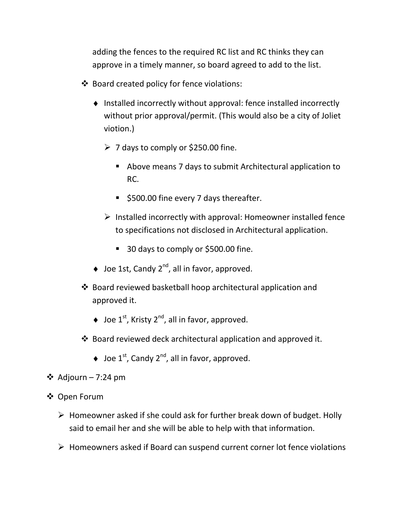adding the fences to the required RC list and RC thinks they can approve in a timely manner, so board agreed to add to the list.

- ❖ Board created policy for fence violations:
	- ♦ Installed incorrectly without approval: fence installed incorrectly without prior approval/permit. (This would also be a city of Joliet viotion.)
		- $\geq 7$  days to comply or \$250.00 fine.
			- Above means 7 days to submit Architectural application to RC.
			- **5500.00 fine every 7 days thereafter.**
		- $\triangleright$  Installed incorrectly with approval: Homeowner installed fence to specifications not disclosed in Architectural application.
			- 30 days to comply or \$500.00 fine.
	- $\triangleq$  Joe 1st, Candy 2<sup>nd</sup>, all in favor, approved.
- Board reviewed basketball hoop architectural application and approved it.
	- $\blacklozenge$  Joe 1<sup>st</sup>, Kristy 2<sup>nd</sup>, all in favor, approved.
- Board reviewed deck architectural application and approved it.
	- $\blacklozenge$  Joe 1<sup>st</sup>, Candy 2<sup>nd</sup>, all in favor, approved.
- ❖ Adjourn 7:24 pm
- Open Forum
	- $\triangleright$  Homeowner asked if she could ask for further break down of budget. Holly said to email her and she will be able to help with that information.
	- $\triangleright$  Homeowners asked if Board can suspend current corner lot fence violations